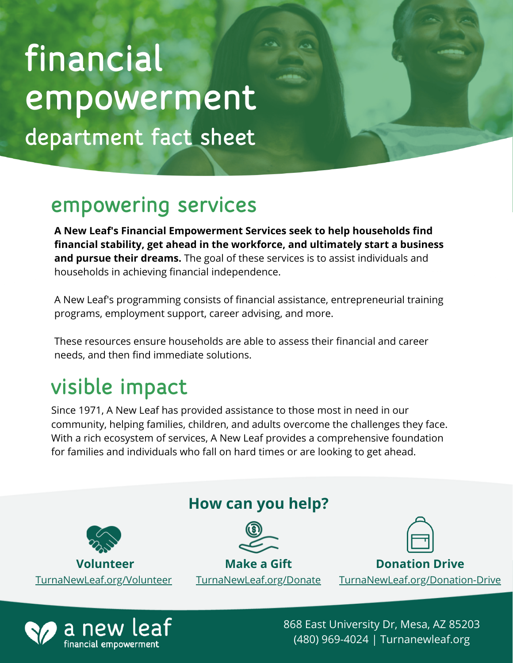# department fact sheet financial empowerment

### empowering services

inancial Empowerment Services seek to help house<br>lity, get ahead in the workforce, and ultimately sta **A New Leaf's Financial Empowerment Services seek to help households find financial stability, get ahead in the workforce, and ultimately start a business and pursue their dreams.** The goal of these services is to assist individuals and households in achieving financial independence.

A New Leaf's programming consists of financial assistance, entrepreneurial training programs, employment support, career advising, and more.

These resources ensure households are able to assess their financial and career needs, and then find immediate solutions.

## visible impact

a new leaf

financial empowerment

Since 1971, A New Leaf has provided assistance to those most in need in our community, helping families, children, and adults overcome the challenges they face. With a rich ecosystem of services, A New Leaf provides a comprehensive foundation for families and individuals who fall on hard times or are looking to get ahead.



868 East University Dr, Mesa, AZ 85203 (480) 969-4024 | Turnanewleaf.org